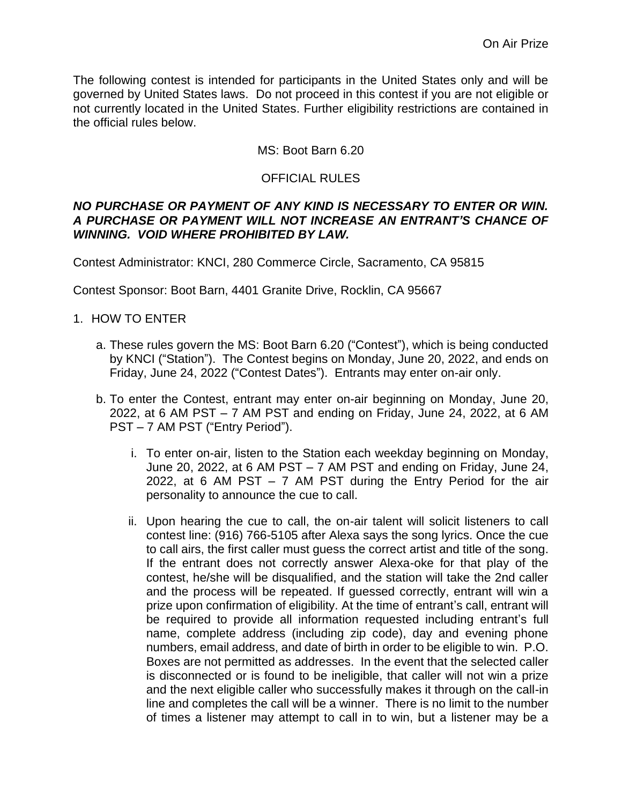The following contest is intended for participants in the United States only and will be governed by United States laws. Do not proceed in this contest if you are not eligible or not currently located in the United States. Further eligibility restrictions are contained in the official rules below.

# MS: Boot Barn 6.20

# OFFICIAL RULES

#### *NO PURCHASE OR PAYMENT OF ANY KIND IS NECESSARY TO ENTER OR WIN. A PURCHASE OR PAYMENT WILL NOT INCREASE AN ENTRANT'S CHANCE OF WINNING. VOID WHERE PROHIBITED BY LAW.*

Contest Administrator: KNCI, 280 Commerce Circle, Sacramento, CA 95815

Contest Sponsor: Boot Barn, 4401 Granite Drive, Rocklin, CA 95667

- 1. HOW TO ENTER
	- a. These rules govern the MS: Boot Barn 6.20 ("Contest"), which is being conducted by KNCI ("Station"). The Contest begins on Monday, June 20, 2022, and ends on Friday, June 24, 2022 ("Contest Dates"). Entrants may enter on-air only.
	- b. To enter the Contest, entrant may enter on-air beginning on Monday, June 20, 2022, at 6 AM PST – 7 AM PST and ending on Friday, June 24, 2022, at 6 AM PST – 7 AM PST ("Entry Period").
		- i. To enter on-air, listen to the Station each weekday beginning on Monday, June 20, 2022, at 6 AM PST – 7 AM PST and ending on Friday, June 24, 2022, at 6 AM PST  $-7$  AM PST during the Entry Period for the air personality to announce the cue to call.
		- ii. Upon hearing the cue to call, the on-air talent will solicit listeners to call contest line: (916) 766-5105 after Alexa says the song lyrics. Once the cue to call airs, the first caller must guess the correct artist and title of the song. If the entrant does not correctly answer Alexa-oke for that play of the contest, he/she will be disqualified, and the station will take the 2nd caller and the process will be repeated. If guessed correctly, entrant will win a prize upon confirmation of eligibility. At the time of entrant's call, entrant will be required to provide all information requested including entrant's full name, complete address (including zip code), day and evening phone numbers, email address, and date of birth in order to be eligible to win. P.O. Boxes are not permitted as addresses. In the event that the selected caller is disconnected or is found to be ineligible, that caller will not win a prize and the next eligible caller who successfully makes it through on the call-in line and completes the call will be a winner. There is no limit to the number of times a listener may attempt to call in to win, but a listener may be a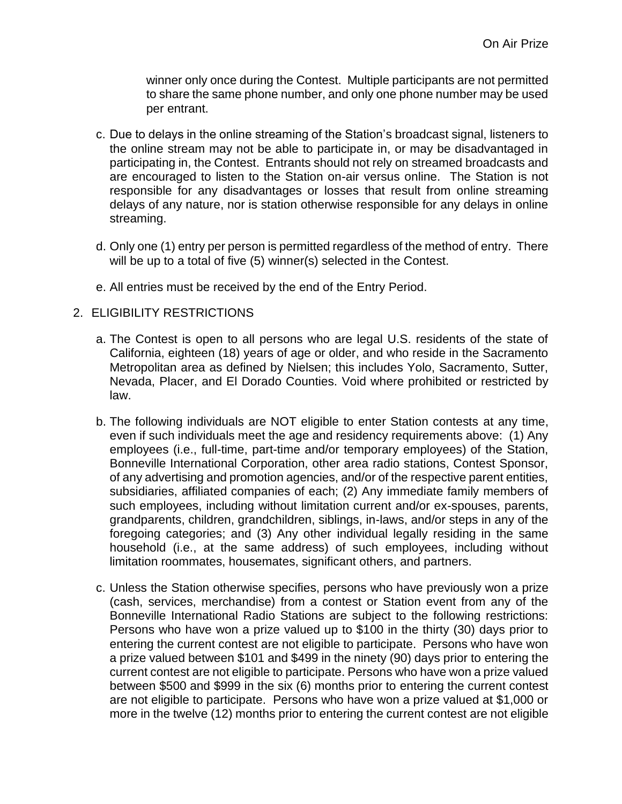winner only once during the Contest. Multiple participants are not permitted to share the same phone number, and only one phone number may be used per entrant.

- c. Due to delays in the online streaming of the Station's broadcast signal, listeners to the online stream may not be able to participate in, or may be disadvantaged in participating in, the Contest. Entrants should not rely on streamed broadcasts and are encouraged to listen to the Station on-air versus online. The Station is not responsible for any disadvantages or losses that result from online streaming delays of any nature, nor is station otherwise responsible for any delays in online streaming.
- d. Only one (1) entry per person is permitted regardless of the method of entry. There will be up to a total of five (5) winner(s) selected in the Contest.
- e. All entries must be received by the end of the Entry Period.
- 2. ELIGIBILITY RESTRICTIONS
	- a. The Contest is open to all persons who are legal U.S. residents of the state of California, eighteen (18) years of age or older, and who reside in the Sacramento Metropolitan area as defined by Nielsen; this includes Yolo, Sacramento, Sutter, Nevada, Placer, and El Dorado Counties. Void where prohibited or restricted by law.
	- b. The following individuals are NOT eligible to enter Station contests at any time, even if such individuals meet the age and residency requirements above: (1) Any employees (i.e., full-time, part-time and/or temporary employees) of the Station, Bonneville International Corporation, other area radio stations, Contest Sponsor, of any advertising and promotion agencies, and/or of the respective parent entities, subsidiaries, affiliated companies of each; (2) Any immediate family members of such employees, including without limitation current and/or ex-spouses, parents, grandparents, children, grandchildren, siblings, in-laws, and/or steps in any of the foregoing categories; and (3) Any other individual legally residing in the same household (i.e., at the same address) of such employees, including without limitation roommates, housemates, significant others, and partners.
	- c. Unless the Station otherwise specifies, persons who have previously won a prize (cash, services, merchandise) from a contest or Station event from any of the Bonneville International Radio Stations are subject to the following restrictions: Persons who have won a prize valued up to \$100 in the thirty (30) days prior to entering the current contest are not eligible to participate. Persons who have won a prize valued between \$101 and \$499 in the ninety (90) days prior to entering the current contest are not eligible to participate. Persons who have won a prize valued between \$500 and \$999 in the six (6) months prior to entering the current contest are not eligible to participate. Persons who have won a prize valued at \$1,000 or more in the twelve (12) months prior to entering the current contest are not eligible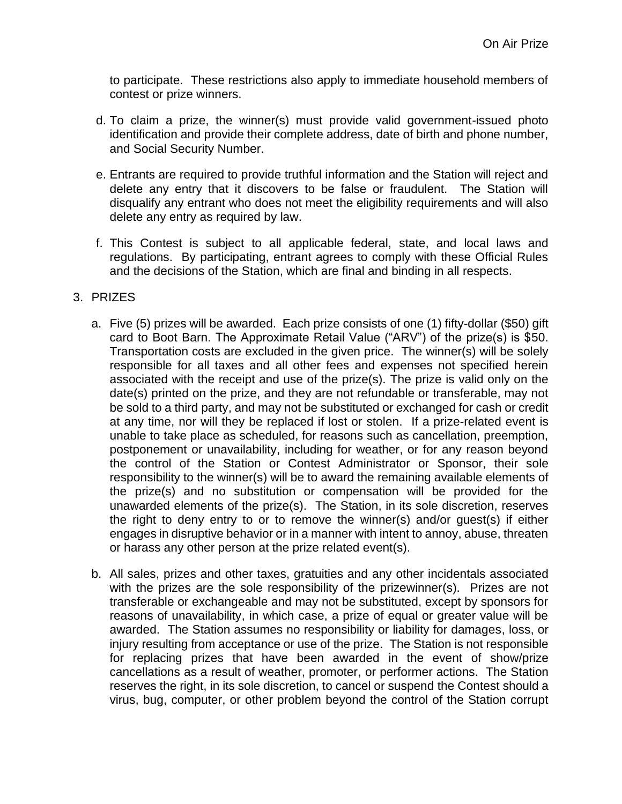to participate. These restrictions also apply to immediate household members of contest or prize winners.

- d. To claim a prize, the winner(s) must provide valid government-issued photo identification and provide their complete address, date of birth and phone number, and Social Security Number.
- e. Entrants are required to provide truthful information and the Station will reject and delete any entry that it discovers to be false or fraudulent. The Station will disqualify any entrant who does not meet the eligibility requirements and will also delete any entry as required by law.
- f. This Contest is subject to all applicable federal, state, and local laws and regulations. By participating, entrant agrees to comply with these Official Rules and the decisions of the Station, which are final and binding in all respects.

# 3. PRIZES

- a. Five (5) prizes will be awarded. Each prize consists of one (1) fifty-dollar (\$50) gift card to Boot Barn. The Approximate Retail Value ("ARV") of the prize(s) is \$50. Transportation costs are excluded in the given price. The winner(s) will be solely responsible for all taxes and all other fees and expenses not specified herein associated with the receipt and use of the prize(s). The prize is valid only on the date(s) printed on the prize, and they are not refundable or transferable, may not be sold to a third party, and may not be substituted or exchanged for cash or credit at any time, nor will they be replaced if lost or stolen. If a prize-related event is unable to take place as scheduled, for reasons such as cancellation, preemption, postponement or unavailability, including for weather, or for any reason beyond the control of the Station or Contest Administrator or Sponsor, their sole responsibility to the winner(s) will be to award the remaining available elements of the prize(s) and no substitution or compensation will be provided for the unawarded elements of the prize(s). The Station, in its sole discretion, reserves the right to deny entry to or to remove the winner(s) and/or guest(s) if either engages in disruptive behavior or in a manner with intent to annoy, abuse, threaten or harass any other person at the prize related event(s).
- b. All sales, prizes and other taxes, gratuities and any other incidentals associated with the prizes are the sole responsibility of the prizewinner(s). Prizes are not transferable or exchangeable and may not be substituted, except by sponsors for reasons of unavailability, in which case, a prize of equal or greater value will be awarded. The Station assumes no responsibility or liability for damages, loss, or injury resulting from acceptance or use of the prize. The Station is not responsible for replacing prizes that have been awarded in the event of show/prize cancellations as a result of weather, promoter, or performer actions. The Station reserves the right, in its sole discretion, to cancel or suspend the Contest should a virus, bug, computer, or other problem beyond the control of the Station corrupt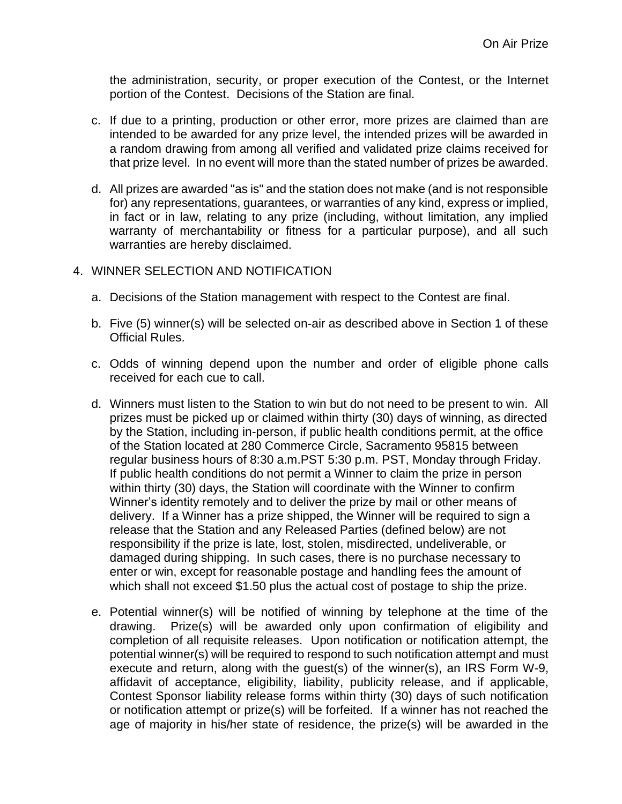the administration, security, or proper execution of the Contest, or the Internet portion of the Contest. Decisions of the Station are final.

- c. If due to a printing, production or other error, more prizes are claimed than are intended to be awarded for any prize level, the intended prizes will be awarded in a random drawing from among all verified and validated prize claims received for that prize level. In no event will more than the stated number of prizes be awarded.
- d. All prizes are awarded "as is" and the station does not make (and is not responsible for) any representations, guarantees, or warranties of any kind, express or implied, in fact or in law, relating to any prize (including, without limitation, any implied warranty of merchantability or fitness for a particular purpose), and all such warranties are hereby disclaimed.
- 4. WINNER SELECTION AND NOTIFICATION
	- a. Decisions of the Station management with respect to the Contest are final.
	- b. Five (5) winner(s) will be selected on-air as described above in Section 1 of these Official Rules.
	- c. Odds of winning depend upon the number and order of eligible phone calls received for each cue to call.
	- d. Winners must listen to the Station to win but do not need to be present to win. All prizes must be picked up or claimed within thirty (30) days of winning, as directed by the Station, including in-person, if public health conditions permit, at the office of the Station located at 280 Commerce Circle, Sacramento 95815 between regular business hours of 8:30 a.m.PST 5:30 p.m. PST, Monday through Friday. If public health conditions do not permit a Winner to claim the prize in person within thirty (30) days, the Station will coordinate with the Winner to confirm Winner's identity remotely and to deliver the prize by mail or other means of delivery. If a Winner has a prize shipped, the Winner will be required to sign a release that the Station and any Released Parties (defined below) are not responsibility if the prize is late, lost, stolen, misdirected, undeliverable, or damaged during shipping. In such cases, there is no purchase necessary to enter or win, except for reasonable postage and handling fees the amount of which shall not exceed \$1.50 plus the actual cost of postage to ship the prize.
	- e. Potential winner(s) will be notified of winning by telephone at the time of the drawing. Prize(s) will be awarded only upon confirmation of eligibility and completion of all requisite releases. Upon notification or notification attempt, the potential winner(s) will be required to respond to such notification attempt and must execute and return, along with the guest(s) of the winner(s), an IRS Form W-9, affidavit of acceptance, eligibility, liability, publicity release, and if applicable, Contest Sponsor liability release forms within thirty (30) days of such notification or notification attempt or prize(s) will be forfeited. If a winner has not reached the age of majority in his/her state of residence, the prize(s) will be awarded in the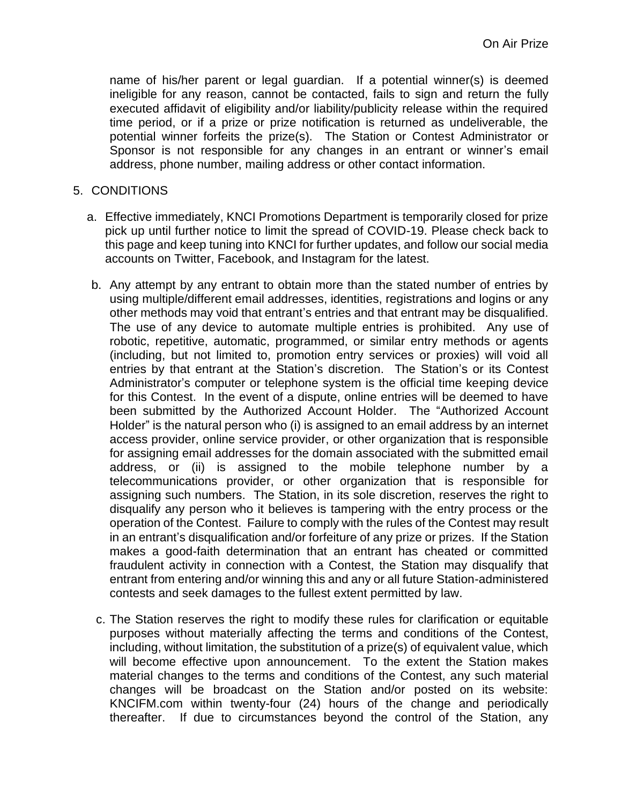name of his/her parent or legal guardian. If a potential winner(s) is deemed ineligible for any reason, cannot be contacted, fails to sign and return the fully executed affidavit of eligibility and/or liability/publicity release within the required time period, or if a prize or prize notification is returned as undeliverable, the potential winner forfeits the prize(s). The Station or Contest Administrator or Sponsor is not responsible for any changes in an entrant or winner's email address, phone number, mailing address or other contact information.

#### 5. CONDITIONS

- a. Effective immediately, KNCI Promotions Department is temporarily closed for prize pick up until further notice to limit the spread of COVID-19. Please check back to this page and keep tuning into KNCI for further updates, and follow our social media accounts on Twitter, Facebook, and Instagram for the latest.
- b. Any attempt by any entrant to obtain more than the stated number of entries by using multiple/different email addresses, identities, registrations and logins or any other methods may void that entrant's entries and that entrant may be disqualified. The use of any device to automate multiple entries is prohibited. Any use of robotic, repetitive, automatic, programmed, or similar entry methods or agents (including, but not limited to, promotion entry services or proxies) will void all entries by that entrant at the Station's discretion. The Station's or its Contest Administrator's computer or telephone system is the official time keeping device for this Contest. In the event of a dispute, online entries will be deemed to have been submitted by the Authorized Account Holder. The "Authorized Account Holder" is the natural person who (i) is assigned to an email address by an internet access provider, online service provider, or other organization that is responsible for assigning email addresses for the domain associated with the submitted email address, or (ii) is assigned to the mobile telephone number by a telecommunications provider, or other organization that is responsible for assigning such numbers. The Station, in its sole discretion, reserves the right to disqualify any person who it believes is tampering with the entry process or the operation of the Contest. Failure to comply with the rules of the Contest may result in an entrant's disqualification and/or forfeiture of any prize or prizes. If the Station makes a good-faith determination that an entrant has cheated or committed fraudulent activity in connection with a Contest, the Station may disqualify that entrant from entering and/or winning this and any or all future Station-administered contests and seek damages to the fullest extent permitted by law.
- c. The Station reserves the right to modify these rules for clarification or equitable purposes without materially affecting the terms and conditions of the Contest, including, without limitation, the substitution of a prize(s) of equivalent value, which will become effective upon announcement. To the extent the Station makes material changes to the terms and conditions of the Contest, any such material changes will be broadcast on the Station and/or posted on its website: KNCIFM.com within twenty-four (24) hours of the change and periodically thereafter. If due to circumstances beyond the control of the Station, any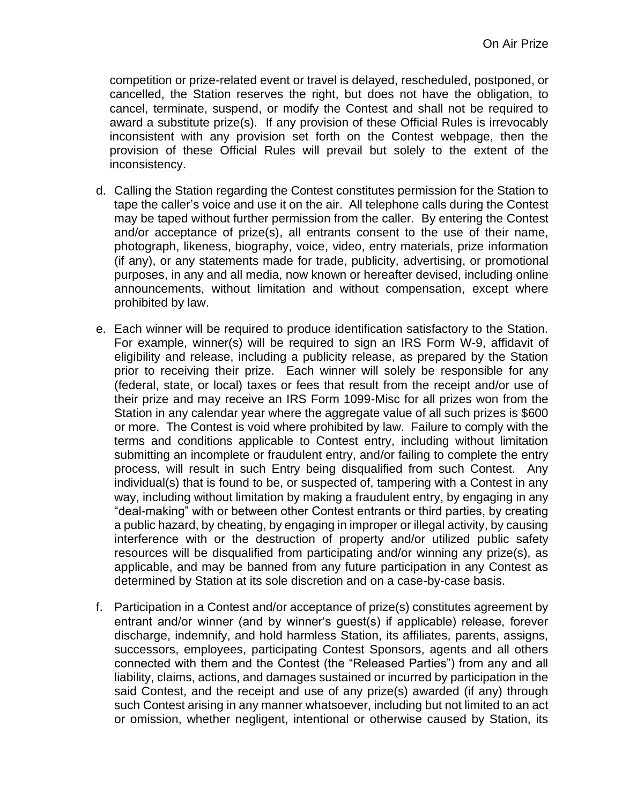competition or prize-related event or travel is delayed, rescheduled, postponed, or cancelled, the Station reserves the right, but does not have the obligation, to cancel, terminate, suspend, or modify the Contest and shall not be required to award a substitute prize(s). If any provision of these Official Rules is irrevocably inconsistent with any provision set forth on the Contest webpage, then the provision of these Official Rules will prevail but solely to the extent of the inconsistency.

- d. Calling the Station regarding the Contest constitutes permission for the Station to tape the caller's voice and use it on the air. All telephone calls during the Contest may be taped without further permission from the caller. By entering the Contest and/or acceptance of prize(s), all entrants consent to the use of their name, photograph, likeness, biography, voice, video, entry materials, prize information (if any), or any statements made for trade, publicity, advertising, or promotional purposes, in any and all media, now known or hereafter devised, including online announcements, without limitation and without compensation, except where prohibited by law.
- e. Each winner will be required to produce identification satisfactory to the Station. For example, winner(s) will be required to sign an IRS Form W-9, affidavit of eligibility and release, including a publicity release, as prepared by the Station prior to receiving their prize. Each winner will solely be responsible for any (federal, state, or local) taxes or fees that result from the receipt and/or use of their prize and may receive an IRS Form 1099-Misc for all prizes won from the Station in any calendar year where the aggregate value of all such prizes is \$600 or more. The Contest is void where prohibited by law. Failure to comply with the terms and conditions applicable to Contest entry, including without limitation submitting an incomplete or fraudulent entry, and/or failing to complete the entry process, will result in such Entry being disqualified from such Contest. Any individual(s) that is found to be, or suspected of, tampering with a Contest in any way, including without limitation by making a fraudulent entry, by engaging in any "deal-making" with or between other Contest entrants or third parties, by creating a public hazard, by cheating, by engaging in improper or illegal activity, by causing interference with or the destruction of property and/or utilized public safety resources will be disqualified from participating and/or winning any prize(s), as applicable, and may be banned from any future participation in any Contest as determined by Station at its sole discretion and on a case-by-case basis.
- f. Participation in a Contest and/or acceptance of prize(s) constitutes agreement by entrant and/or winner (and by winner's guest(s) if applicable) release, forever discharge, indemnify, and hold harmless Station, its affiliates, parents, assigns, successors, employees, participating Contest Sponsors, agents and all others connected with them and the Contest (the "Released Parties") from any and all liability, claims, actions, and damages sustained or incurred by participation in the said Contest, and the receipt and use of any prize(s) awarded (if any) through such Contest arising in any manner whatsoever, including but not limited to an act or omission, whether negligent, intentional or otherwise caused by Station, its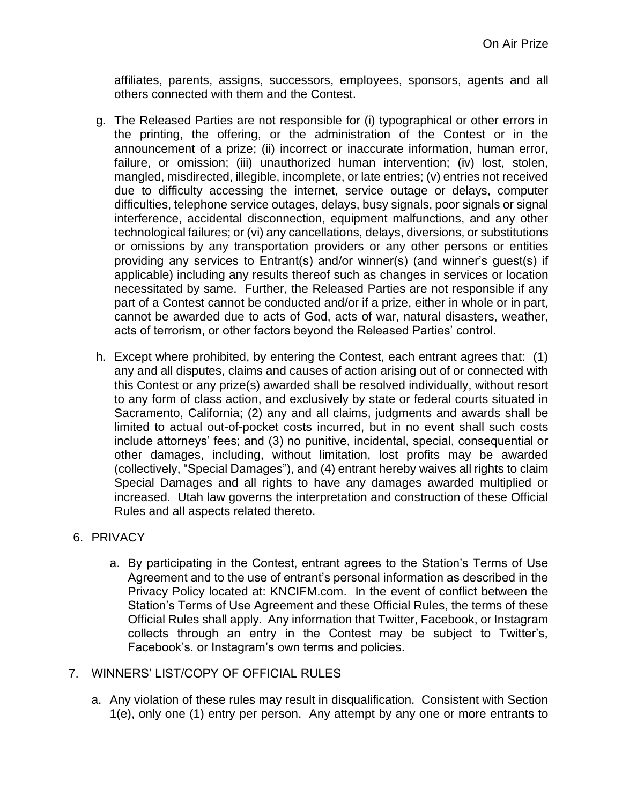affiliates, parents, assigns, successors, employees, sponsors, agents and all others connected with them and the Contest.

- g. The Released Parties are not responsible for (i) typographical or other errors in the printing, the offering, or the administration of the Contest or in the announcement of a prize; (ii) incorrect or inaccurate information, human error, failure, or omission; (iii) unauthorized human intervention; (iv) lost, stolen, mangled, misdirected, illegible, incomplete, or late entries; (v) entries not received due to difficulty accessing the internet, service outage or delays, computer difficulties, telephone service outages, delays, busy signals, poor signals or signal interference, accidental disconnection, equipment malfunctions, and any other technological failures; or (vi) any cancellations, delays, diversions, or substitutions or omissions by any transportation providers or any other persons or entities providing any services to Entrant(s) and/or winner(s) (and winner's guest(s) if applicable) including any results thereof such as changes in services or location necessitated by same. Further, the Released Parties are not responsible if any part of a Contest cannot be conducted and/or if a prize, either in whole or in part, cannot be awarded due to acts of God, acts of war, natural disasters, weather, acts of terrorism, or other factors beyond the Released Parties' control.
- h. Except where prohibited, by entering the Contest, each entrant agrees that: (1) any and all disputes, claims and causes of action arising out of or connected with this Contest or any prize(s) awarded shall be resolved individually, without resort to any form of class action, and exclusively by state or federal courts situated in Sacramento, California; (2) any and all claims, judgments and awards shall be limited to actual out-of-pocket costs incurred, but in no event shall such costs include attorneys' fees; and (3) no punitive, incidental, special, consequential or other damages, including, without limitation, lost profits may be awarded (collectively, "Special Damages"), and (4) entrant hereby waives all rights to claim Special Damages and all rights to have any damages awarded multiplied or increased. Utah law governs the interpretation and construction of these Official Rules and all aspects related thereto.

### 6. PRIVACY

a. By participating in the Contest, entrant agrees to the Station's Terms of Use Agreement and to the use of entrant's personal information as described in the Privacy Policy located at: KNCIFM.com. In the event of conflict between the Station's Terms of Use Agreement and these Official Rules, the terms of these Official Rules shall apply. Any information that Twitter, Facebook, or Instagram collects through an entry in the Contest may be subject to Twitter's, Facebook's. or Instagram's own terms and policies.

### 7. WINNERS' LIST/COPY OF OFFICIAL RULES

a. Any violation of these rules may result in disqualification. Consistent with Section 1(e), only one (1) entry per person. Any attempt by any one or more entrants to